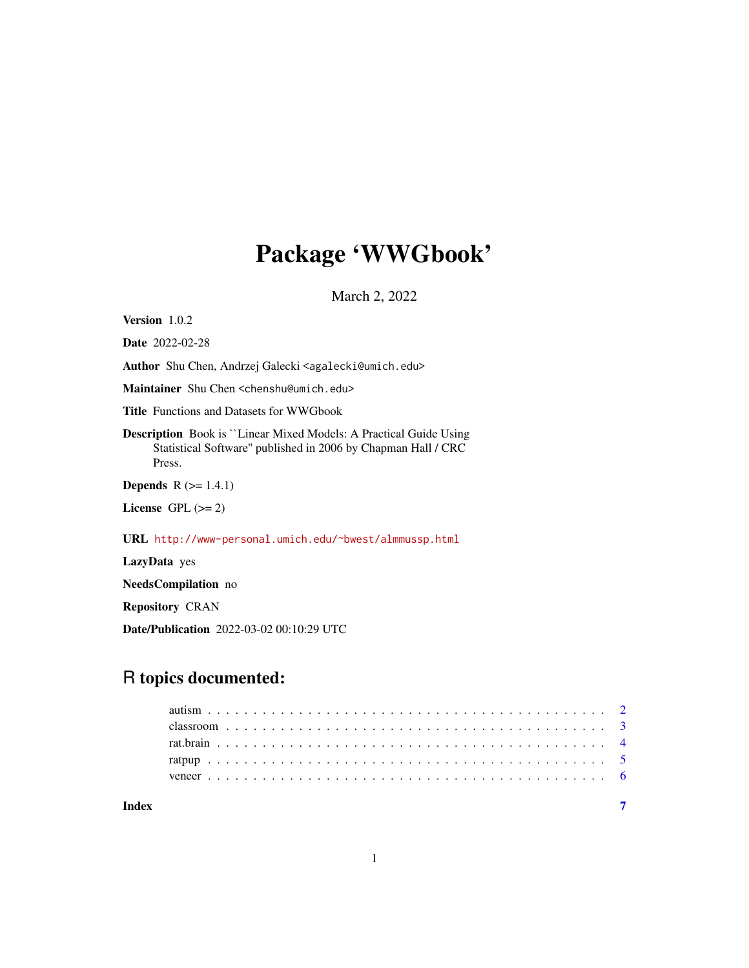## Package 'WWGbook'

March 2, 2022

Version 1.0.2

Date 2022-02-28

Author Shu Chen, Andrzej Galecki <agalecki@umich.edu>

Maintainer Shu Chen <chenshu@umich.edu>

Title Functions and Datasets for WWGbook

Description Book is ``Linear Mixed Models: A Practical Guide Using Statistical Software'' published in 2006 by Chapman Hall / CRC Press.

**Depends**  $R$  ( $>= 1.4.1$ )

License GPL  $(>= 2)$ 

URL <http://www-personal.umich.edu/~bwest/almmussp.html>

LazyData yes

NeedsCompilation no

Repository CRAN

Date/Publication 2022-03-02 00:10:29 UTC

### R topics documented:

| Index |  |  |  |  |  |  |  |  |  |  |  |  |  |  |  |  |  |  |  |  |  |  |
|-------|--|--|--|--|--|--|--|--|--|--|--|--|--|--|--|--|--|--|--|--|--|--|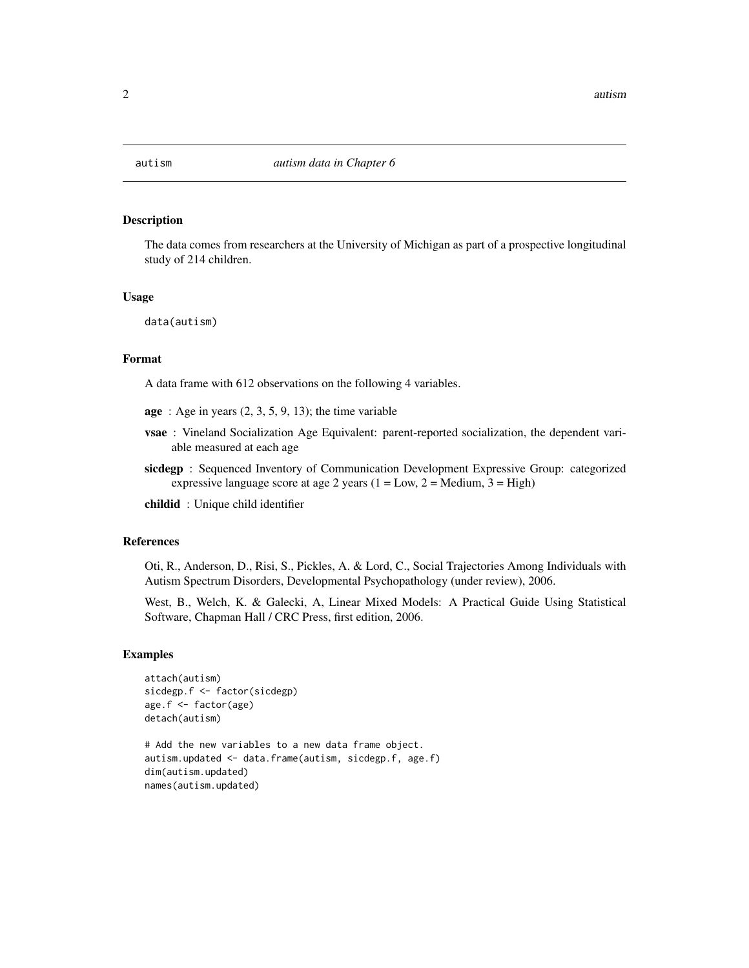<span id="page-1-0"></span>

### Description

The data comes from researchers at the University of Michigan as part of a prospective longitudinal study of 214 children.

#### Usage

data(autism)

#### Format

A data frame with 612 observations on the following 4 variables.

- $age: Age in years (2, 3, 5, 9, 13); the time variable$
- vsae : Vineland Socialization Age Equivalent: parent-reported socialization, the dependent variable measured at each age
- sicdegp : Sequenced Inventory of Communication Development Expressive Group: categorized expressive language score at age 2 years  $(1 = Low, 2 = Medium, 3 = High)$

childid : Unique child identifier

#### References

Oti, R., Anderson, D., Risi, S., Pickles, A. & Lord, C., Social Trajectories Among Individuals with Autism Spectrum Disorders, Developmental Psychopathology (under review), 2006.

West, B., Welch, K. & Galecki, A, Linear Mixed Models: A Practical Guide Using Statistical Software, Chapman Hall / CRC Press, first edition, 2006.

#### Examples

```
attach(autism)
sicdegp.f <- factor(sicdegp)
age.f <- factor(age)
detach(autism)
# Add the new variables to a new data frame object.
```
autism.updated <- data.frame(autism, sicdegp.f, age.f) dim(autism.updated) names(autism.updated)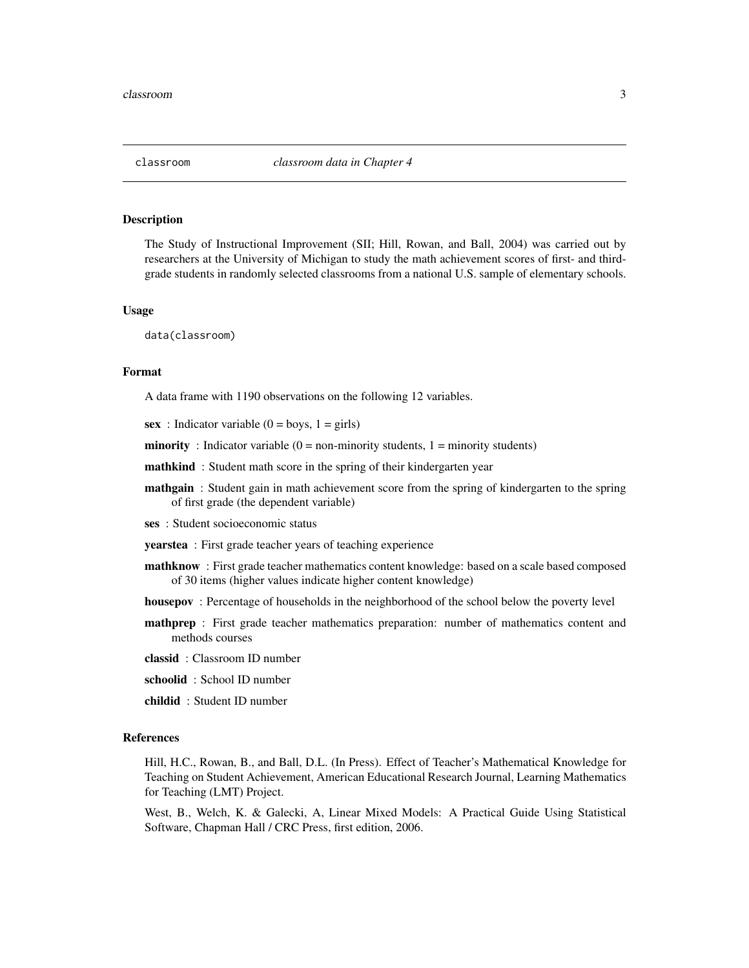#### <span id="page-2-0"></span>**Description**

The Study of Instructional Improvement (SII; Hill, Rowan, and Ball, 2004) was carried out by researchers at the University of Michigan to study the math achievement scores of first- and thirdgrade students in randomly selected classrooms from a national U.S. sample of elementary schools.

#### Usage

data(classroom)

#### Format

A data frame with 1190 observations on the following 12 variables.

sex : Indicator variable  $(0 = boys, 1 = girls)$ 

**minority**: Indicator variable  $(0 = non-minority students, 1 = minority students)$ 

mathkind: Student math score in the spring of their kindergarten year

**mathgain** : Student gain in math achievement score from the spring of kindergarten to the spring of first grade (the dependent variable)

ses : Student socioeconomic status

yearstea : First grade teacher years of teaching experience

- mathknow : First grade teacher mathematics content knowledge: based on a scale based composed of 30 items (higher values indicate higher content knowledge)
- housepov : Percentage of households in the neighborhood of the school below the poverty level
- mathprep : First grade teacher mathematics preparation: number of mathematics content and methods courses
- classid : Classroom ID number
- schoolid : School ID number
- childid : Student ID number

#### References

Hill, H.C., Rowan, B., and Ball, D.L. (In Press). Effect of Teacher's Mathematical Knowledge for Teaching on Student Achievement, American Educational Research Journal, Learning Mathematics for Teaching (LMT) Project.

West, B., Welch, K. & Galecki, A, Linear Mixed Models: A Practical Guide Using Statistical Software, Chapman Hall / CRC Press, first edition, 2006.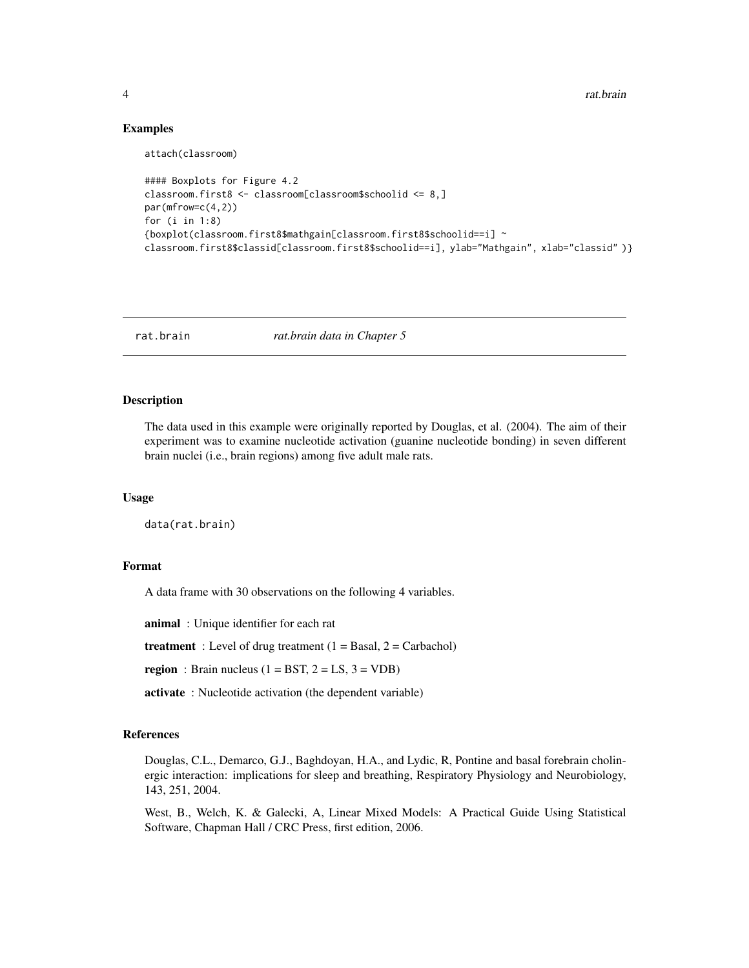4 rat.brain compared to the contract of the contract of the contract of the contract of the contract of the contract of the contract of the contract of the contract of the contract of the contract of the contract of the co

#### Examples

attach(classroom)

```
#### Boxplots for Figure 4.2
classroom.first8 <- classroom[classroom$schoolid <= 8,]
par(mfrow=c(4,2))
for (i in 1:8)
{boxplot(classroom.first8$mathgain[classroom.first8$schoolid==i] ~
classroom.first8$classid[classroom.first8$schoolid==i], ylab="Mathgain", xlab="classid" )}
```
rat.brain *rat.brain data in Chapter 5*

#### Description

The data used in this example were originally reported by Douglas, et al. (2004). The aim of their experiment was to examine nucleotide activation (guanine nucleotide bonding) in seven different brain nuclei (i.e., brain regions) among five adult male rats.

#### Usage

data(rat.brain)

### Format

A data frame with 30 observations on the following 4 variables.

animal : Unique identifier for each rat

treatment : Level of drug treatment  $(1 = Basal, 2 = Carbachol)$ 

region : Brain nucleus  $(1 = BST, 2 = LS, 3 = VDB)$ 

activate : Nucleotide activation (the dependent variable)

#### References

Douglas, C.L., Demarco, G.J., Baghdoyan, H.A., and Lydic, R, Pontine and basal forebrain cholinergic interaction: implications for sleep and breathing, Respiratory Physiology and Neurobiology, 143, 251, 2004.

West, B., Welch, K. & Galecki, A, Linear Mixed Models: A Practical Guide Using Statistical Software, Chapman Hall / CRC Press, first edition, 2006.

<span id="page-3-0"></span>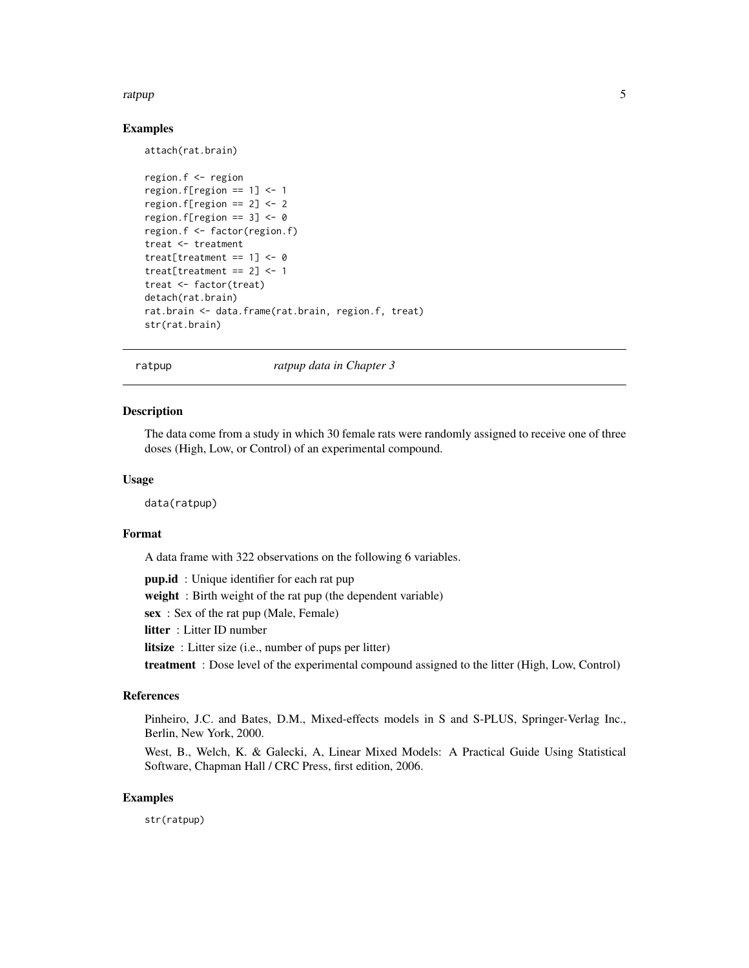#### <span id="page-4-0"></span>ratpup 5

#### Examples

attach(rat.brain)

```
region.f <- region
region.f[region == 1] <- 1
region.f[region == 2] <- 2
region.f[region == 3] <- 0
region.f <- factor(region.f)
treat <- treatment
treat[treatment == 1] <- 0
treat[treatment == 2] < -1treat <- factor(treat)
detach(rat.brain)
rat.brain <- data.frame(rat.brain, region.f, treat)
str(rat.brain)
```
ratpup *ratpup data in Chapter 3*

#### Description

The data come from a study in which 30 female rats were randomly assigned to receive one of three doses (High, Low, or Control) of an experimental compound.

#### Usage

data(ratpup)

#### Format

A data frame with 322 observations on the following 6 variables.

**pup.id** : Unique identifier for each rat pup

weight : Birth weight of the rat pup (the dependent variable)

sex : Sex of the rat pup (Male, Female)

litter : Litter ID number

litsize : Litter size (i.e., number of pups per litter)

treatment : Dose level of the experimental compound assigned to the litter (High, Low, Control)

#### References

Pinheiro, J.C. and Bates, D.M., Mixed-effects models in S and S-PLUS, Springer-Verlag Inc., Berlin, New York, 2000.

West, B., Welch, K. & Galecki, A, Linear Mixed Models: A Practical Guide Using Statistical Software, Chapman Hall / CRC Press, first edition, 2006.

#### Examples

str(ratpup)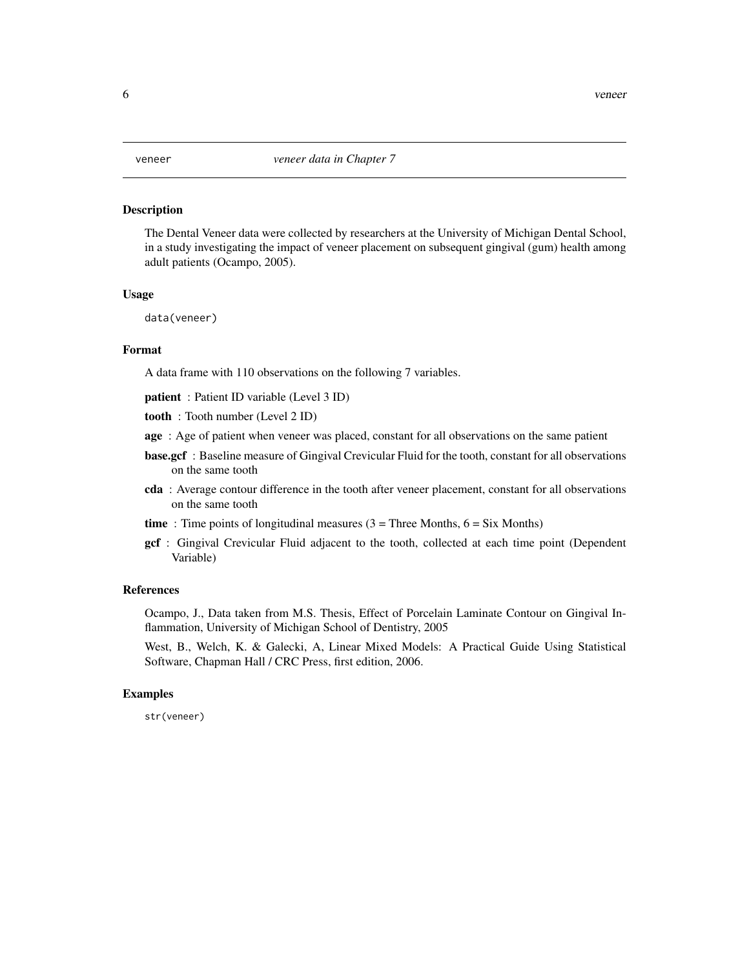#### <span id="page-5-0"></span>Description

The Dental Veneer data were collected by researchers at the University of Michigan Dental School, in a study investigating the impact of veneer placement on subsequent gingival (gum) health among adult patients (Ocampo, 2005).

#### Usage

data(veneer)

#### Format

A data frame with 110 observations on the following 7 variables.

patient : Patient ID variable (Level 3 ID)

tooth : Tooth number (Level 2 ID)

- age : Age of patient when veneer was placed, constant for all observations on the same patient
- base.gcf: Baseline measure of Gingival Crevicular Fluid for the tooth, constant for all observations on the same tooth
- cda : Average contour difference in the tooth after veneer placement, constant for all observations on the same tooth

time: Time points of longitudinal measures  $(3 =$  Three Months,  $6 =$  Six Months)

gcf : Gingival Crevicular Fluid adjacent to the tooth, collected at each time point (Dependent Variable)

#### References

Ocampo, J., Data taken from M.S. Thesis, Effect of Porcelain Laminate Contour on Gingival Inflammation, University of Michigan School of Dentistry, 2005

West, B., Welch, K. & Galecki, A, Linear Mixed Models: A Practical Guide Using Statistical Software, Chapman Hall / CRC Press, first edition, 2006.

#### Examples

str(veneer)